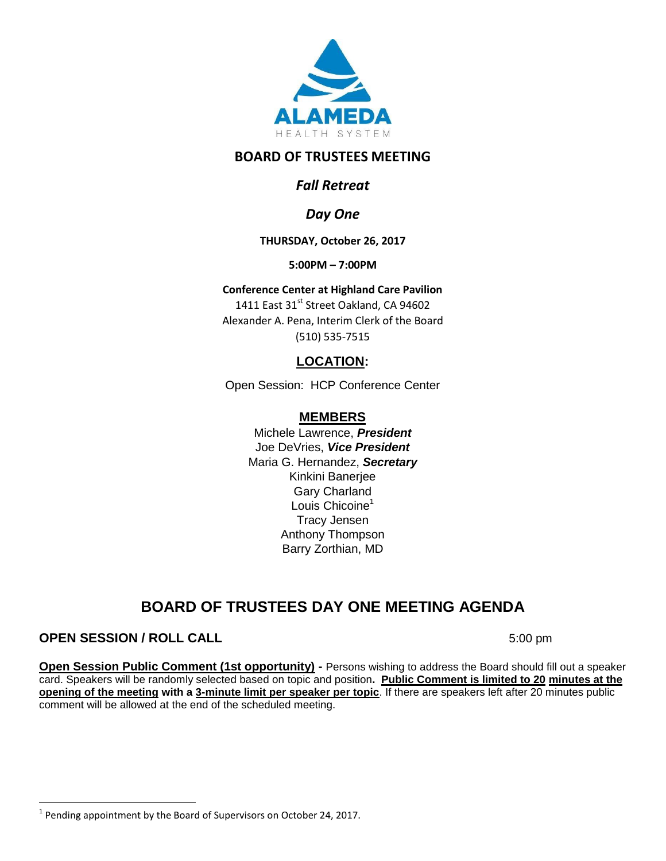

## **BOARD OF TRUSTEES MEETING**

# *Fall Retreat*

# *Day One*

### **THURSDAY, October 26, 2017**

**5:00PM – 7:00PM**

#### **Conference Center at Highland Care Pavilion**

1411 East 31<sup>st</sup> Street Oakland, CA 94602 Alexander A. Pena, Interim Clerk of the Board (510) 535-7515

## **LOCATION:**

Open Session: HCP Conference Center

### **MEMBERS**

Michele Lawrence, *President*  Joe DeVries, *Vice President*  Maria G. Hernandez, *Secretary* Kinkini Banerjee Gary Charland Louis Chicoine<sup>1</sup> Tracy Jensen Anthony Thompson Barry Zorthian, MD

# **BOARD OF TRUSTEES DAY ONE MEETING AGENDA**

### **OPEN SESSION / ROLL CALL** 5:00 pm

 $\overline{\phantom{a}}$ 

**Open Session Public Comment (1st opportunity) -** Persons wishing to address the Board should fill out a speaker card. Speakers will be randomly selected based on topic and position**. Public Comment is limited to 20 minutes at the opening of the meeting with a 3-minute limit per speaker per topic**. If there are speakers left after 20 minutes public comment will be allowed at the end of the scheduled meeting.

 $<sup>1</sup>$  Pending appointment by the Board of Supervisors on October 24, 2017.</sup>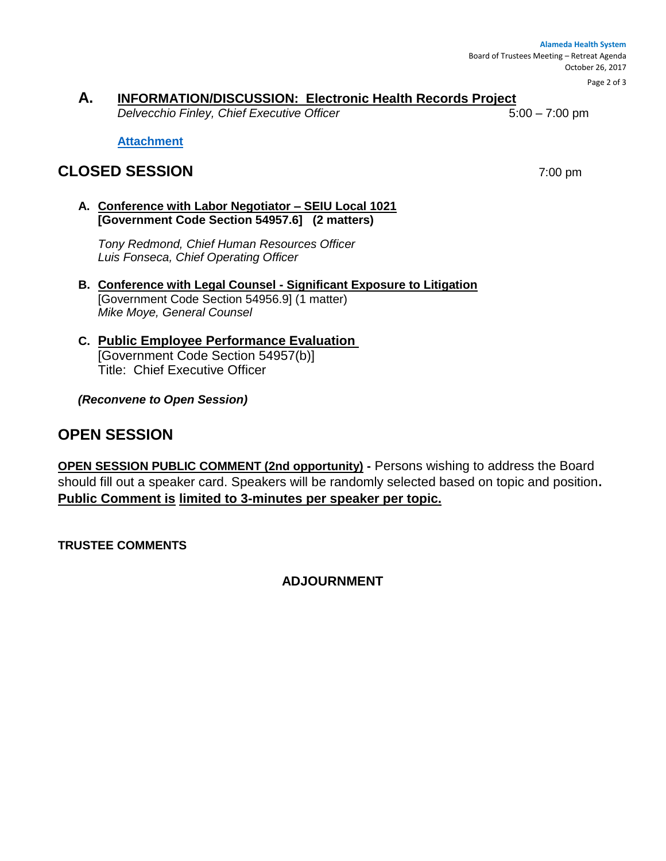**Alameda Health System**  Board of Trustees Meeting – Retreat Agenda October 26, 2017

Page 2 of 3

## **A. INFORMATION/DISCUSSION: Electronic Health Records Project**

*Delvecchio Finley, Chief Executive Officer* 5:00 – 7:00 pm

**[Attachment](http://www.alamedahealthsystem.org/wp-content/uploads/2017/10/Tab-A-Attachment.pdf)**

# **CLOSED SESSION** 7:00 pm

**A. Conference with Labor Negotiator – SEIU Local 1021 [Government Code Section 54957.6] (2 matters)**

*Tony Redmond, Chief Human Resources Officer Luis Fonseca, Chief Operating Officer*

- **B. Conference with Legal Counsel - Significant Exposure to Litigation** [Government Code Section 54956.9] (1 matter) *Mike Moye, General Counsel*
- **C. Public Employee Performance Evaluation**  [Government Code Section 54957(b)] Title: Chief Executive Officer

*(Reconvene to Open Session)* 

# **OPEN SESSION**

**OPEN SESSION PUBLIC COMMENT (2nd opportunity) -** Persons wishing to address the Board should fill out a speaker card. Speakers will be randomly selected based on topic and position**. Public Comment is limited to 3-minutes per speaker per topic.**

**TRUSTEE COMMENTS** 

**ADJOURNMENT**